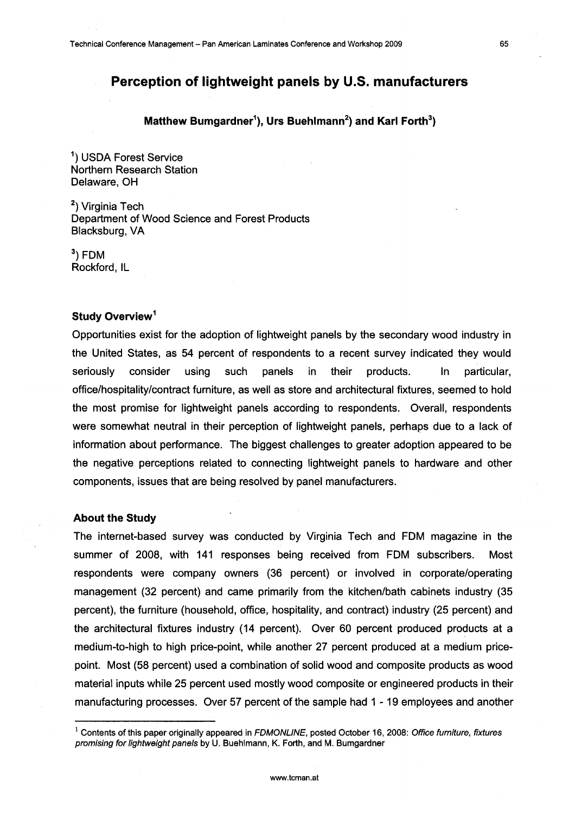# **Perception of lightweight panels by U.S. manufacturers**

## **Matthew Bumgardner<sup>1</sup>), Urs Buehlmann<sup>2</sup>) and Karl Forth** $^3$ **)**

1) USDA Forest Service Northern Research Station Delaware, OH

2) Virginia Tech Department of Wood Science and Forest Products Blacksburg, VA

3) FDM Rockford, IL

### **Study Overview<sup>1</sup>**

Opportunities exist for the adoption of lightweight panels by the secondary wood industry in the United States, as 54 percent of respondents to a recent survey indicated they would seriously consider using such panels in their products. In particular, office/hospitality/contract furniture, as well as store and architectural fixtures, seemed to hold the most promise for lightweight panels according to respondents. Overall, respondents were somewhat neutral in their perception of lightweight panels, perhaps due to a lack of information about performance. The biggest challenges to greater adoption appeared to be the negative perceptions related to connecting lightweight panels to hardware and other components, issues that are being resolved by panel manufacturers.

#### **About the Study**

The internet-based survey was conducted by Virginia Tech and FDM magazine in the summer of 2008, with 141 responses being received from FDM subscribers. Most respondents were company owners (36 percent) or involved in corporate/operating management (32 percent) and came primarily from the kitchen/bath cabinets industry (35 percent), the furniture (household, office, hospitality, and contract) industry (25 percent) and the architectural fixtures industry (14 percent). Over 60 percent produced products at a medium-to-high to high price-point, while another 27 percent produced at a medium pricepoint. Most (58 percent) used a combination of solid wood and composite products as wood material inputs while 25 percent used mostly wood composite or engineered products in their manufacturing processes. Over 57 percent of the sample had 1 - 19 employees and another

 $1$  Contents of this paper originally appeared in FDMONLINE, posted October 16, 2008: Office furniture, fixtures promising for lightweight panels by U. Buehlmann, K. Forth, and M. Bumgardner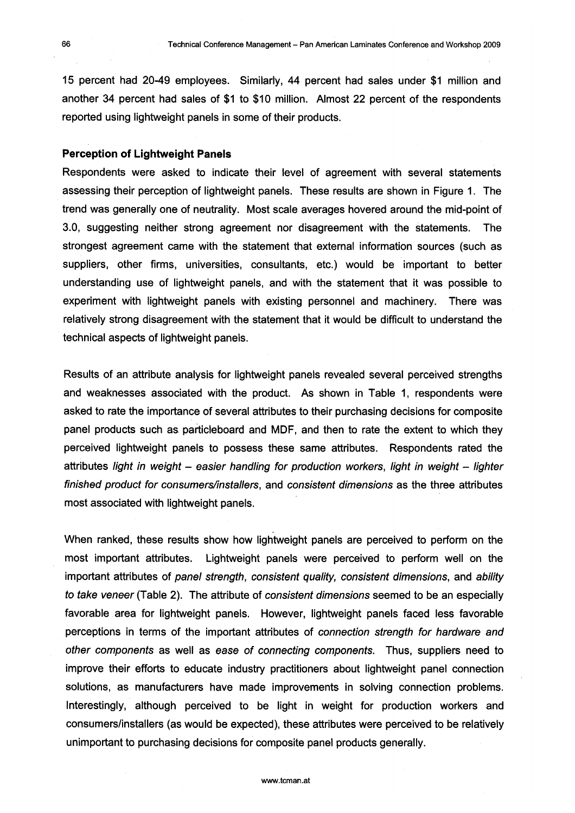15 percent had 20-49 employees. Similarly, 44 percent had sales under \$1 million and another 34 percent had sales of \$1 to \$10 million. Almost 22 percent of the respondents reported using lightweight panels in some of their products.

#### **Perception of Lightweight Panels**

Respondents were asked to indicate their level of agreement with several statements assessing their perception of lightweight panels. These results are shown in Figure 1. The trend was generally one of neutrality. Most scale averages hovered around the mid-point of 3.0, suggesting neither strong agreement nor disagreement with the statements. The strongest agreement came with the statement that external information sources (such as suppliers, other firms, universities, consultants, etc.) would be important to better understanding use of lightweight panels, and with the statement that it was possible to experiment with lightweight panels with existing personnel and machinery. There was relatively strong disagreement with the statement that it would be difficult to understand the technical aspects of lightweight panels.

Results of an attribute analysis for lightweight panels revealed several perceived strengths and weaknesses associated with the product. As shown in Table 1, respondents were asked to rate the importance of several attributes to their purchasing decisions for composite panel products such as particleboard and MDF, and then to rate the extent to which they perceived lightweight panels to possess these same attributes. Respondents rated the attributes light in weight  $-$  easier handling for production workers, light in weight  $-$  lighter finished product for consumers/installers, and consistent dimensions as the three attributes most associated with lightweight panels.

When ranked, these results show how lightweight panels are perceived to perform on the most important attributes. Lightweight panels were perceived to perform well on the important attributes of panel strength, consistent quality, consistent dimensions, and ability to take veneer (Table 2). The attribute of consistent dimensions seemed to be an especially favorable area for lightweight panels. However, lightweight panels faced less favorable perceptions in terms of the important attributes of connection strength for hardware and other components as well as ease of connecting components. Thus, suppliers need to improve their efforts to educate industry practitioners about lightweight panel connection solutions, as manufacturers have made improvements in solving connection problems. Interestingly, although perceived to be light in weight for production workers and consumers/installers (as would be expected), these attributes were perceived to be relatively unimportant to purchasing decisions for composite panel products generally.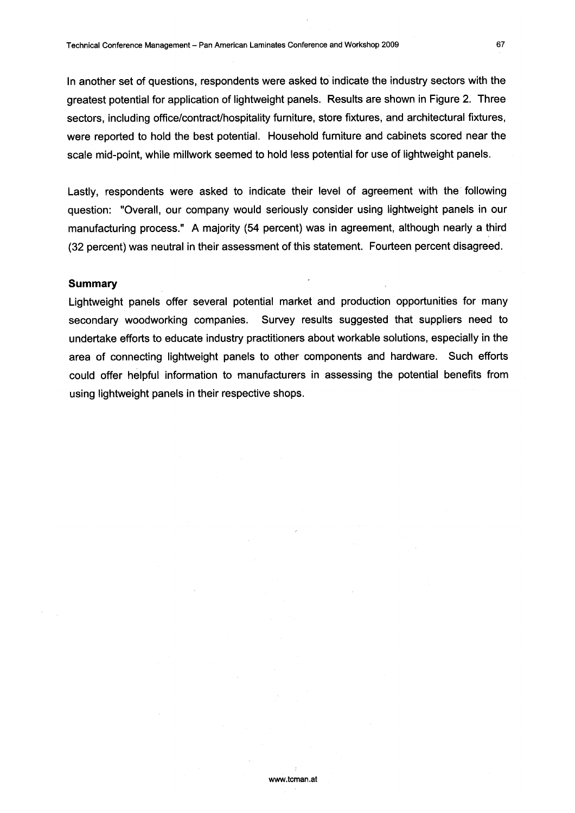In another set of questions, respondents were asked to indicate the industry sectors with the greatest potential for application of lightweight panels. Results are shown in Figure 2. Three sectors, including office/contract/hospitality furniture, store fixtures, and architectural fixtures, were reported to hold the best potential. Household furniture and cabinets scored near the scale mid-point, while millwork seemed to hold less potential for use of lightweight panels.

Lastly, respondents were asked to indicate their level of agreement with the following question: "Overall, our company would seriously consider using lightweight panels in our manufacturing process." A majority (54 percent) was in agreement, although nearly a third (32 percent) was neutral in their assessment of this statement. Fourteen percent disagreed.

#### **Summary**

Lightweight panels offer several potential market and production opportunities for many secondary woodworking companies. Survey results suggested that suppliers need to undertake efforts to educate industry practitioners about workable solutions, especially in the area of connecting lightweight panels to other components and hardware. Such efforts could offer helpful information to manufacturers in assessing the potential benefits from using lightweight panels in their respective shops.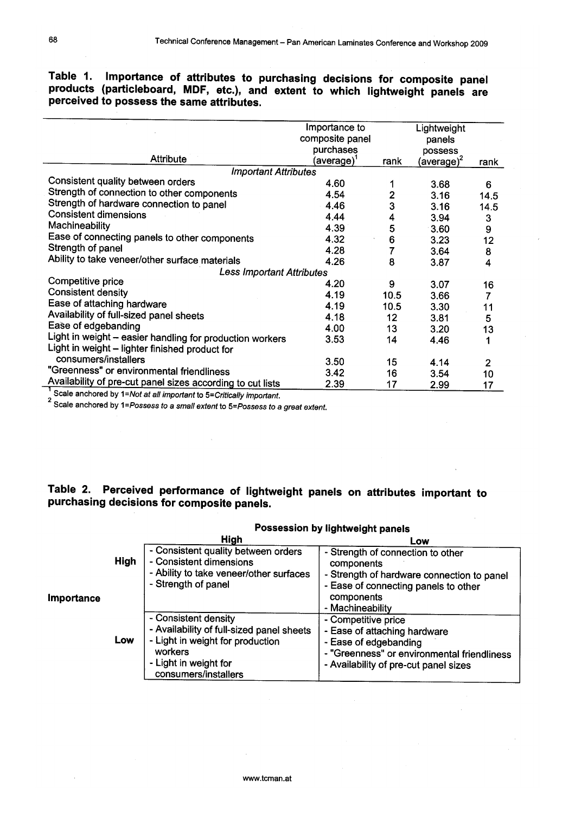# **Table 1. Importance of attributes to purchasing decisions for composite panel products (particleboard, MDF, etc.), and extent to which lightweight panels are perceived to possess the same attributes.**

|                                                            | Importance to<br>composite panel |                 | Lightweight<br>panels           |                |  |  |  |
|------------------------------------------------------------|----------------------------------|-----------------|---------------------------------|----------------|--|--|--|
|                                                            | purchases                        |                 | possess                         |                |  |  |  |
| <b>Attribute</b>                                           | (average)'                       | rank            | (av <u>e</u> rage) <sup>∠</sup> | rank           |  |  |  |
| <b>Important Attributes</b>                                |                                  |                 |                                 |                |  |  |  |
| Consistent quality between orders                          | 4.60                             |                 | 3.68                            | 6              |  |  |  |
| Strength of connection to other components                 | 4.54                             | 2               | 3.16                            | 14.5           |  |  |  |
| Strength of hardware connection to panel                   | 4.46                             | 3               | 3.16                            | 14.5           |  |  |  |
| <b>Consistent dimensions</b>                               | 4.44                             | 4               | 3.94                            | 3              |  |  |  |
| Machineability                                             | 4.39                             | 5               | 3.60                            | 9              |  |  |  |
| Ease of connecting panels to other components              | 4.32                             | 6               | 3.23                            | 12             |  |  |  |
| Strength of panel                                          | 4.28                             |                 | 3.64                            | 8              |  |  |  |
| Ability to take veneer/other surface materials             | 4.26                             | 8               | 3.87                            | 4              |  |  |  |
| <b>Less Important Attributes</b>                           |                                  |                 |                                 |                |  |  |  |
| Competitive price                                          | 4.20                             | 9               | 3.07                            | 16             |  |  |  |
| <b>Consistent density</b>                                  | 4.19                             | 10.5            | 3.66                            | 7              |  |  |  |
| Ease of attaching hardware                                 | 4.19                             | 10.5            | 3.30                            | 11             |  |  |  |
| Availability of full-sized panel sheets                    | 4.18                             | 12 <sup>°</sup> | 3.81                            | 5              |  |  |  |
| Ease of edgebanding                                        | 4.00                             | 13              | 3.20                            | 13             |  |  |  |
| Light in weight - easier handling for production workers   | 3.53                             | 14              | 4.46                            |                |  |  |  |
| Light in weight - lighter finished product for             |                                  |                 |                                 |                |  |  |  |
| consumers/installers                                       | 3.50                             | 15              | 4.14                            | $\overline{2}$ |  |  |  |
| "Greenness" or environmental friendliness                  | 3.42                             | 16              | 3.54                            | 10             |  |  |  |
| Availability of pre-cut panel sizes according to cut lists | 2.39                             | 17              | 2.99                            | 17             |  |  |  |

Scale anchored by 1=Not at all important to 5=Critically important.<br><sup>2</sup> Scale anchored by 1=Possess to a small extent to 5=Possess to a great extent.

# **Table 2. Perceived performance of lightweight panels on attributes important to purchasing decisions for composite panels.**

|           |             | High                                                                                                                                                              | Low                                                                                                                                                                     |  |  |
|-----------|-------------|-------------------------------------------------------------------------------------------------------------------------------------------------------------------|-------------------------------------------------------------------------------------------------------------------------------------------------------------------------|--|--|
| mportance | <b>High</b> | - Consistent quality between orders<br>- Consistent dimensions<br>- Ability to take veneer/other surfaces<br>- Strength of panel                                  | - Strength of connection to other<br>components<br>- Strength of hardware connection to panel<br>- Ease of connecting panels to other<br>components<br>- Machineability |  |  |
|           | Low         | - Consistent density<br>- Availability of full-sized panel sheets<br>- Light in weight for production<br>workers<br>- Light in weight for<br>consumers/installers | - Competitive price<br>- Ease of attaching hardware<br>- Ease of edgebanding<br>- "Greenness" or environmental friendliness<br>- Availability of pre-cut panel sizes    |  |  |

# **Possession by lightweight panels**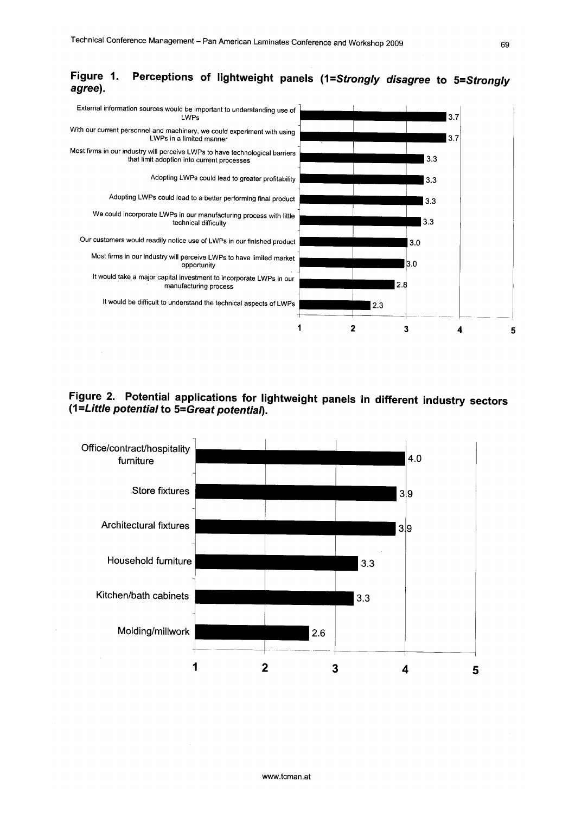

#### **Figure 1. agree).**  Perceptions of lightweight panels (1=Strongly disagree to 5=Strongly

**Figure 2. Potential applications for lightweight panels in different industry sectors (1 =Little potential to 5=Great potential).** 

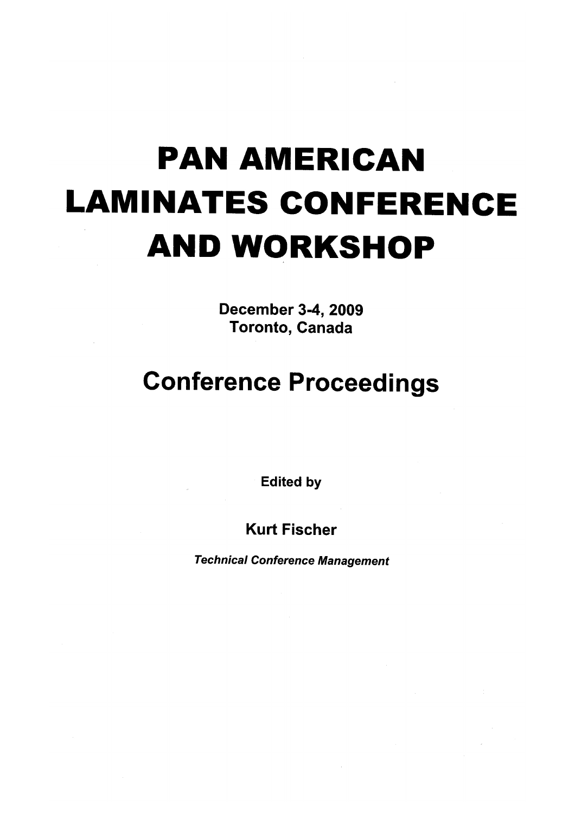# **PAN AMERICAN LAMINATES CONFERENCE AND WORKSHOP**

December 3-4, 2009 Toronto, Canada

# **Conference Proceedings**

Edited by

Kurt Fischer

Technical Conference Management